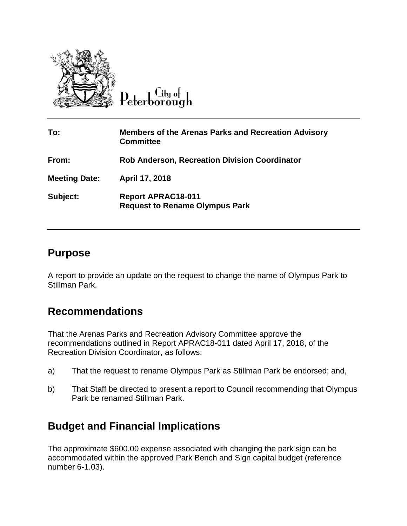

Peterborough

| To:                  | <b>Members of the Arenas Parks and Recreation Advisory</b><br><b>Committee</b> |
|----------------------|--------------------------------------------------------------------------------|
| From:                | <b>Rob Anderson, Recreation Division Coordinator</b>                           |
| <b>Meeting Date:</b> | April 17, 2018                                                                 |
| Subject:             | <b>Report APRAC18-011</b><br><b>Request to Rename Olympus Park</b>             |

### **Purpose**

A report to provide an update on the request to change the name of Olympus Park to Stillman Park.

# **Recommendations**

That the Arenas Parks and Recreation Advisory Committee approve the recommendations outlined in Report APRAC18-011 dated April 17, 2018, of the Recreation Division Coordinator, as follows:

- a) That the request to rename Olympus Park as Stillman Park be endorsed; and,
- b) That Staff be directed to present a report to Council recommending that Olympus Park be renamed Stillman Park.

# **Budget and Financial Implications**

The approximate \$600.00 expense associated with changing the park sign can be accommodated within the approved Park Bench and Sign capital budget (reference number 6-1.03).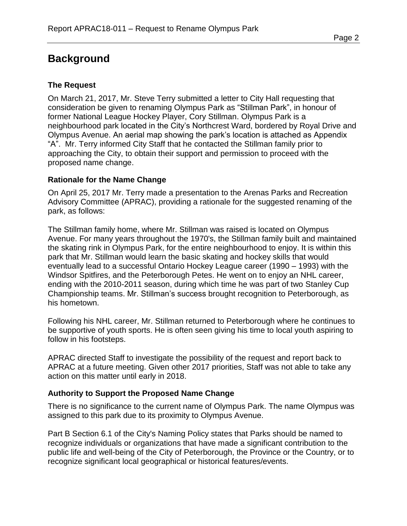# **Background**

### **The Request**

On March 21, 2017, Mr. Steve Terry submitted a letter to City Hall requesting that consideration be given to renaming Olympus Park as "Stillman Park", in honour of former National League Hockey Player, Cory Stillman. Olympus Park is a neighbourhood park located in the City's Northcrest Ward, bordered by Royal Drive and Olympus Avenue. An aerial map showing the park's location is attached as Appendix "A". Mr. Terry informed City Staff that he contacted the Stillman family prior to approaching the City, to obtain their support and permission to proceed with the proposed name change.

#### **Rationale for the Name Change**

On April 25, 2017 Mr. Terry made a presentation to the Arenas Parks and Recreation Advisory Committee (APRAC), providing a rationale for the suggested renaming of the park, as follows:

The Stillman family home, where Mr. Stillman was raised is located on Olympus Avenue. For many years throughout the 1970's, the Stillman family built and maintained the skating rink in Olympus Park, for the entire neighbourhood to enjoy. It is within this park that Mr. Stillman would learn the basic skating and hockey skills that would eventually lead to a successful Ontario Hockey League career (1990 – 1993) with the Windsor Spitfires, and the Peterborough Petes. He went on to enjoy an NHL career, ending with the 2010-2011 season, during which time he was part of two Stanley Cup Championship teams. Mr. Stillman's success brought recognition to Peterborough, as his hometown.

Following his NHL career, Mr. Stillman returned to Peterborough where he continues to be supportive of youth sports. He is often seen giving his time to local youth aspiring to follow in his footsteps.

APRAC directed Staff to investigate the possibility of the request and report back to APRAC at a future meeting. Given other 2017 priorities, Staff was not able to take any action on this matter until early in 2018.

#### **Authority to Support the Proposed Name Change**

There is no significance to the current name of Olympus Park. The name Olympus was assigned to this park due to its proximity to Olympus Avenue.

Part B Section 6.1 of the City's Naming Policy states that Parks should be named to recognize individuals or organizations that have made a significant contribution to the public life and well-being of the City of Peterborough, the Province or the Country, or to recognize significant local geographical or historical features/events.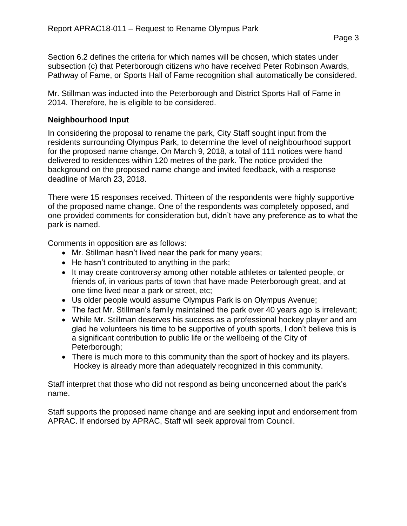Section 6.2 defines the criteria for which names will be chosen, which states under subsection (c) that Peterborough citizens who have received Peter Robinson Awards, Pathway of Fame, or Sports Hall of Fame recognition shall automatically be considered.

Mr. Stillman was inducted into the Peterborough and District Sports Hall of Fame in 2014. Therefore, he is eligible to be considered.

#### **Neighbourhood Input**

In considering the proposal to rename the park, City Staff sought input from the residents surrounding Olympus Park, to determine the level of neighbourhood support for the proposed name change. On March 9, 2018, a total of 111 notices were hand delivered to residences within 120 metres of the park. The notice provided the background on the proposed name change and invited feedback, with a response deadline of March 23, 2018.

There were 15 responses received. Thirteen of the respondents were highly supportive of the proposed name change. One of the respondents was completely opposed, and one provided comments for consideration but, didn't have any preference as to what the park is named.

Comments in opposition are as follows:

- Mr. Stillman hasn't lived near the park for many years;
- $\bullet$  He hasn't contributed to anything in the park;
- It may create controversy among other notable athletes or talented people, or friends of, in various parts of town that have made Peterborough great, and at one time lived near a park or street, etc;
- Us older people would assume Olympus Park is on Olympus Avenue;
- The fact Mr. Stillman's family maintained the park over 40 years ago is irrelevant;
- While Mr. Stillman deserves his success as a professional hockey player and am glad he volunteers his time to be supportive of youth sports, I don't believe this is a significant contribution to public life or the wellbeing of the City of Peterborough;
- There is much more to this community than the sport of hockey and its players. Hockey is already more than adequately recognized in this community.

Staff interpret that those who did not respond as being unconcerned about the park's name.

Staff supports the proposed name change and are seeking input and endorsement from APRAC. If endorsed by APRAC, Staff will seek approval from Council.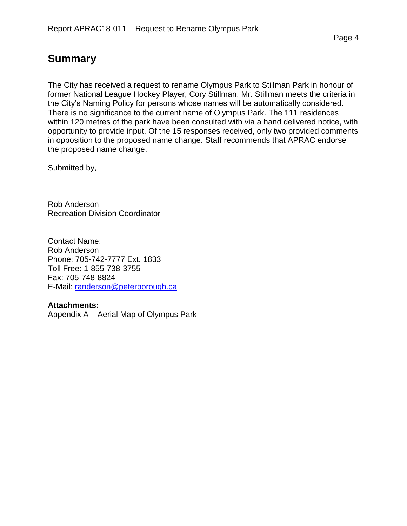### **Summary**

The City has received a request to rename Olympus Park to Stillman Park in honour of former National League Hockey Player, Cory Stillman. Mr. Stillman meets the criteria in the City's Naming Policy for persons whose names will be automatically considered. There is no significance to the current name of Olympus Park. The 111 residences within 120 metres of the park have been consulted with via a hand delivered notice, with opportunity to provide input. Of the 15 responses received, only two provided comments in opposition to the proposed name change. Staff recommends that APRAC endorse the proposed name change.

Submitted by,

Rob Anderson Recreation Division Coordinator

Contact Name: Rob Anderson Phone: 705-742-7777 Ext. 1833 Toll Free: 1-855-738-3755 Fax: 705-748-8824 E-Mail: [randerson@peterborough.ca](mailto:randerson@peterborough.ca)

#### **Attachments:**

Appendix A – Aerial Map of Olympus Park